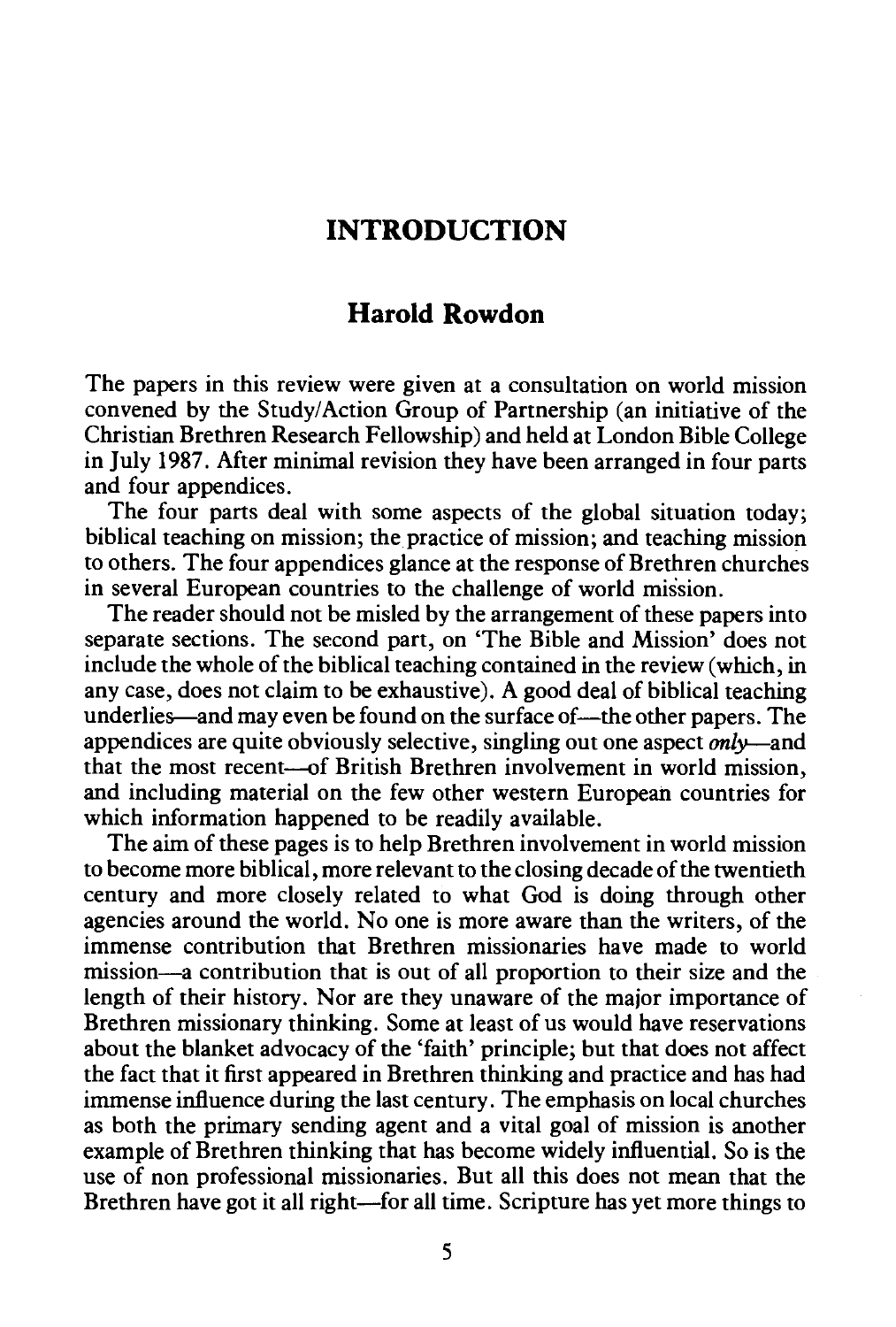## **INTRODUCTION**

## **Harold Rowdon**

The papers in this review were given at a consultation on world mission convened by the Study/Action Group of Partnership (an initiative of the Christian Brethren Research Fellowship) and held at London Bible College in July 1987. After minimal revision they have been arranged in four parts and four appendices.

The four parts deal with some aspects of the global situation today; biblical teaching on mission; the practice of mission; and teaching mission to others. The four appendices glance at the response of Brethren churches in several European countries to the challenge of world mission.

The reader should not be misled by the arrangement of these papers into separate sections. The second part, on 'The Bible and Mission' does not include the whole of the biblical teaching contained in the review (which, in any case, does not claim to be exhaustive). A good deal of biblical teaching underlies—and may even be found on the surface of—the other papers. The appendices are quite obviously selective, singling out one aspect *only-and*  that the most recent--of British Brethren involvement in world mission, and including material on the few other western European countries for which information happened to be readily available.

The aim of these pages is to help Brethren involvement in world mission to become more biblical, more relevant to the closing decade of the twentieth century and more closely related to what God is doing through other agencies around the world. No one is more aware than the writers, of the immense contribution that Brethren missionaries have made to world mission—a contribution that is out of all proportion to their size and the length of their history. Nor are they unaware of the major importance of Brethren missionary thinking. Some at least of us would have reservations about the blanket advocacy of the 'faith' principle; but that does not affect the fact that it first appeared in Brethren thinking and practice and has had immense influence during the last century. The emphasis on local churches as both the primary sending agent and a vital goal of mission is another example of Brethren thinking that has become widely influential. So is the use of non professional missionaries. But all this does not mean that the Brethren have got it all right-for all time. Scripture has yet more things to